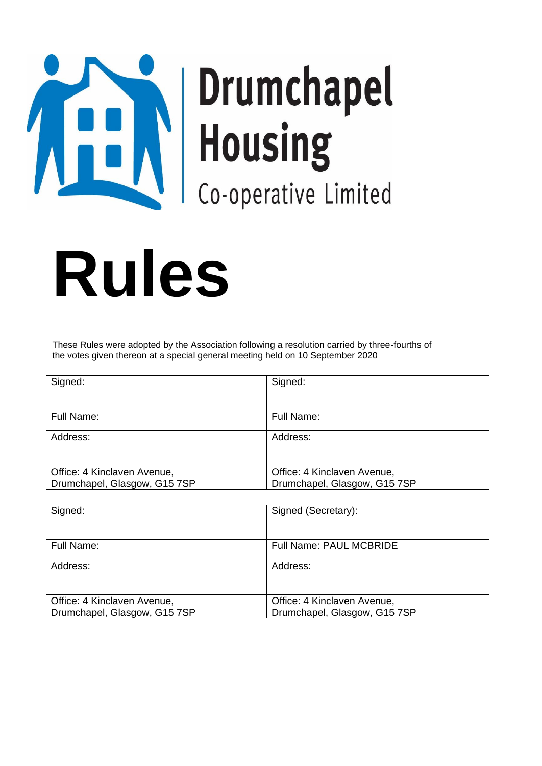# These are the Rules **J**

# **Rules**

These Rules were adopted by the Association following a resolution carried by three-fourths of the votes given thereon at a special general meeting held on 10 September 2020

| Signed:                      | Signed:                      |
|------------------------------|------------------------------|
|                              |                              |
| Full Name:                   | Full Name:                   |
| Address:                     | Address:                     |
|                              |                              |
| Office: 4 Kinclaven Avenue,  | Office: 4 Kinclaven Avenue,  |
| Drumchapel, Glasgow, G15 7SP | Drumchapel, Glasgow, G15 7SP |

| Signed:                      | Signed (Secretary):            |
|------------------------------|--------------------------------|
|                              |                                |
| Full Name:                   | <b>Full Name: PAUL MCBRIDE</b> |
| Address:                     | Address:                       |
|                              |                                |
|                              |                                |
| Office: 4 Kinclaven Avenue,  | Office: 4 Kinclaven Avenue,    |
| Drumchapel, Glasgow, G15 7SP | Drumchapel, Glasgow, G15 7SP   |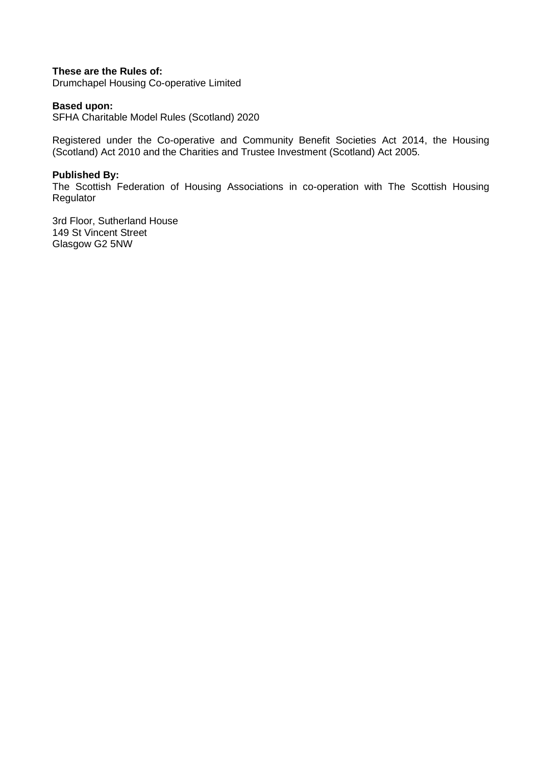#### **These are the Rules of:**

Drumchapel Housing Co-operative Limited

#### **Based upon:**

SFHA Charitable Model Rules (Scotland) 2020

Registered under the Co-operative and Community Benefit Societies Act 2014, the Housing (Scotland) Act 2010 and the Charities and Trustee Investment (Scotland) Act 2005.

#### **Published By:**

The Scottish Federation of Housing Associations in co-operation with The Scottish Housing Regulator

3rd Floor, Sutherland House 149 St Vincent Street Glasgow G2 5NW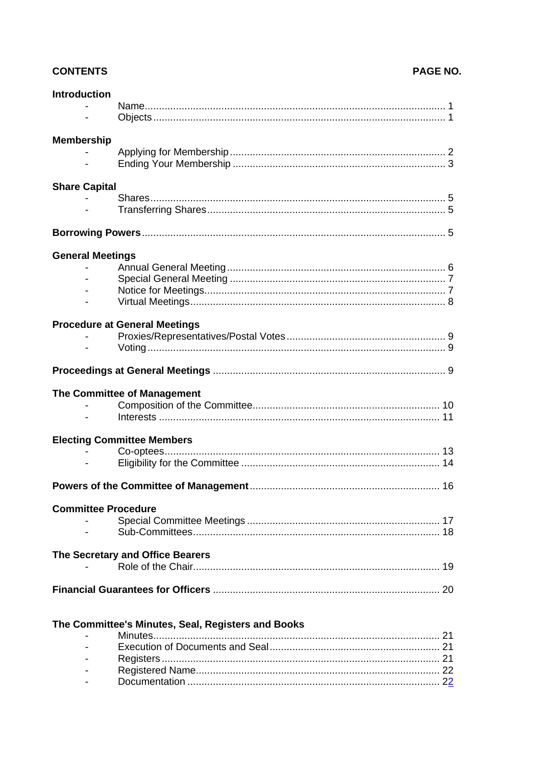#### **CONTENTS**

#### PAGE NO.

| <b>Introduction</b>        |                                                    |    |
|----------------------------|----------------------------------------------------|----|
|                            |                                                    |    |
|                            |                                                    |    |
| <b>Membership</b>          |                                                    |    |
|                            |                                                    |    |
|                            |                                                    |    |
| <b>Share Capital</b>       |                                                    |    |
|                            |                                                    |    |
|                            |                                                    |    |
|                            |                                                    |    |
| <b>General Meetings</b>    |                                                    |    |
|                            |                                                    |    |
|                            |                                                    |    |
|                            |                                                    |    |
|                            |                                                    |    |
|                            | <b>Procedure at General Meetings</b>               |    |
|                            |                                                    |    |
|                            |                                                    |    |
|                            |                                                    |    |
|                            | The Committee of Management                        |    |
|                            |                                                    |    |
|                            |                                                    |    |
|                            | <b>Electing Committee Members</b>                  |    |
|                            |                                                    |    |
|                            |                                                    |    |
|                            |                                                    |    |
| <b>Committee Procedure</b> |                                                    |    |
|                            |                                                    |    |
|                            |                                                    |    |
|                            | The Secretary and Office Bearers                   |    |
|                            |                                                    | 19 |
|                            |                                                    |    |
|                            |                                                    |    |
|                            |                                                    |    |
|                            | The Committee's Minutes, Seal, Registers and Books |    |
|                            |                                                    |    |
|                            |                                                    |    |
|                            |                                                    |    |
|                            |                                                    |    |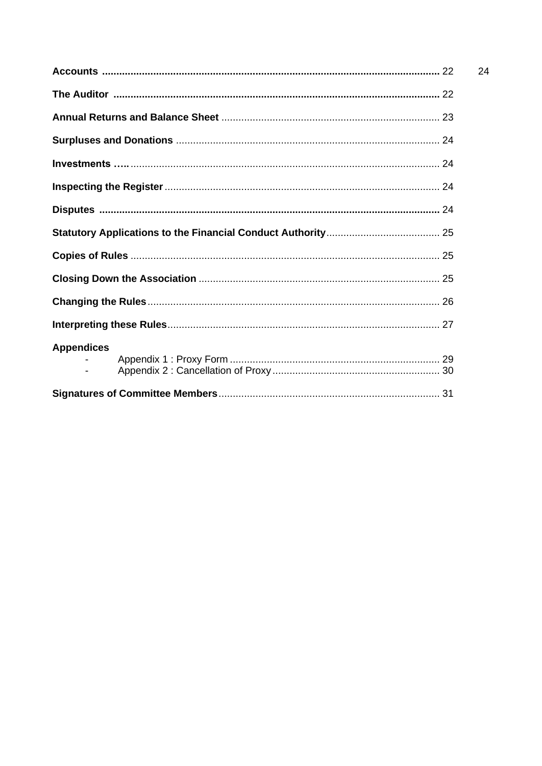| <b>Appendices</b> |  |
|-------------------|--|
|                   |  |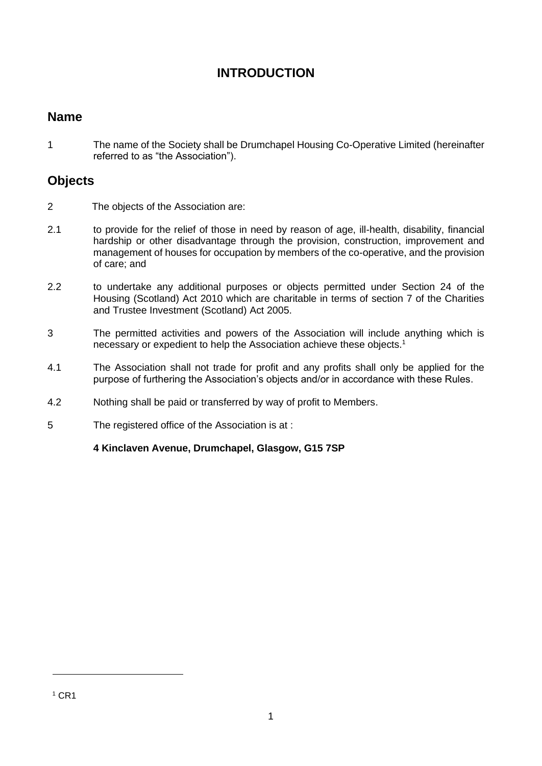#### **INTRODUCTION**

#### **Name**

1 The name of the Society shall be Drumchapel Housing Co-Operative Limited (hereinafter referred to as "the Association").

#### **Objects**

- 2 The objects of the Association are:
- 2.1 to provide for the relief of those in need by reason of age, ill-health, disability, financial hardship or other disadvantage through the provision, construction, improvement and management of houses for occupation by members of the co-operative, and the provision of care; and
- 2.2 to undertake any additional purposes or objects permitted under Section 24 of the Housing (Scotland) Act 2010 which are charitable in terms of section 7 of the Charities and Trustee Investment (Scotland) Act 2005.
- 3 The permitted activities and powers of the Association will include anything which is necessary or expedient to help the Association achieve these objects.<sup>1</sup>
- 4.1 The Association shall not trade for profit and any profits shall only be applied for the purpose of furthering the Association's objects and/or in accordance with these Rules.
- 4.2 Nothing shall be paid or transferred by way of profit to Members.
- 5 The registered office of the Association is at :

**4 Kinclaven Avenue, Drumchapel, Glasgow, G15 7SP**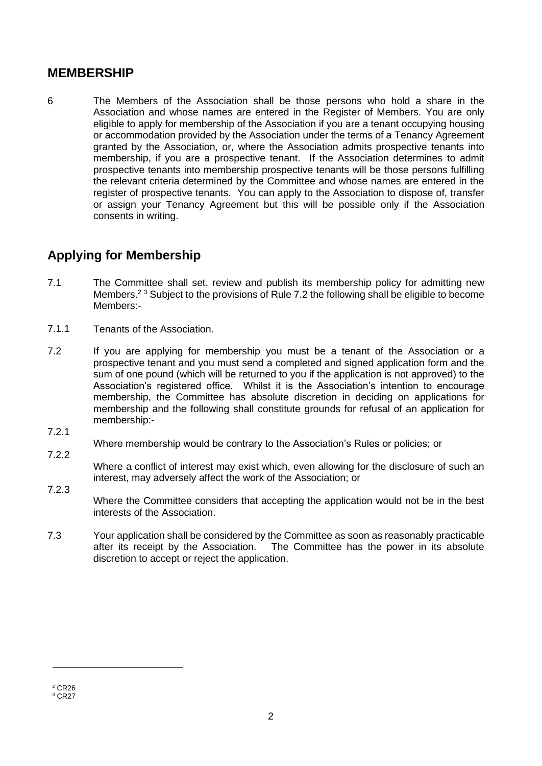#### **MEMBERSHIP**

6 The Members of the Association shall be those persons who hold a share in the Association and whose names are entered in the Register of Members. You are only eligible to apply for membership of the Association if you are a tenant occupying housing or accommodation provided by the Association under the terms of a Tenancy Agreement granted by the Association, or, where the Association admits prospective tenants into membership, if you are a prospective tenant. If the Association determines to admit prospective tenants into membership prospective tenants will be those persons fulfilling the relevant criteria determined by the Committee and whose names are entered in the register of prospective tenants. You can apply to the Association to dispose of, transfer or assign your Tenancy Agreement but this will be possible only if the Association consents in writing.

#### **Applying for Membership**

- 7.1 The Committee shall set, review and publish its membership policy for admitting new Members.<sup>23</sup> Subject to the provisions of Rule 7.2 the following shall be eligible to become Members:-
- 7.1.1 Tenants of the Association.
- 7.2 If you are applying for membership you must be a tenant of the Association or a prospective tenant and you must send a completed and signed application form and the sum of one pound (which will be returned to you if the application is not approved) to the Association's registered office. Whilst it is the Association's intention to encourage membership, the Committee has absolute discretion in deciding on applications for membership and the following shall constitute grounds for refusal of an application for membership:-
- 7.2.1

7.2.2

Where membership would be contrary to the Association's Rules or policies; or

Where a conflict of interest may exist which, even allowing for the disclosure of such an interest, may adversely affect the work of the Association; or

- 7.2.3 Where the Committee considers that accepting the application would not be in the best interests of the Association.
- 7.3 Your application shall be considered by the Committee as soon as reasonably practicable after its receipt by the Association. The Committee has the power in its absolute discretion to accept or reject the application.

 $2$  CR26 <sup>3</sup> CR27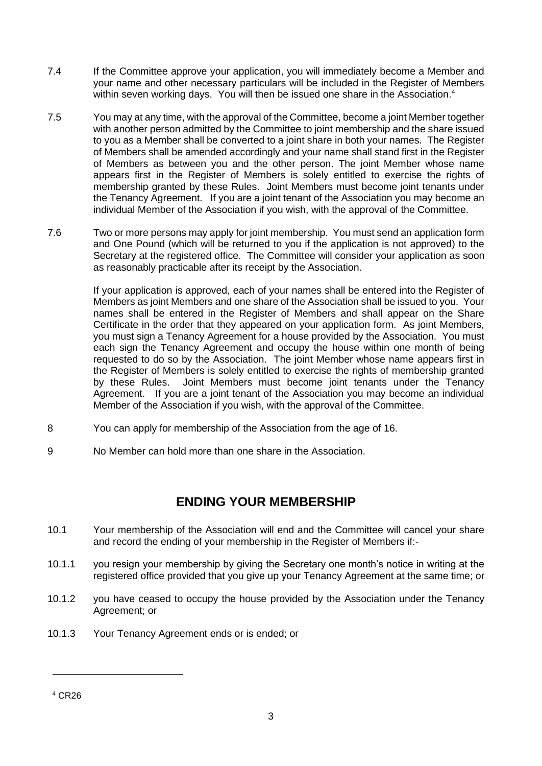- 7.4 If the Committee approve your application, you will immediately become a Member and your name and other necessary particulars will be included in the Register of Members within seven working days. You will then be issued one share in the Association.<sup>4</sup>
- 7.5 You may at any time, with the approval of the Committee, become a joint Member together with another person admitted by the Committee to joint membership and the share issued to you as a Member shall be converted to a joint share in both your names. The Register of Members shall be amended accordingly and your name shall stand first in the Register of Members as between you and the other person. The joint Member whose name appears first in the Register of Members is solely entitled to exercise the rights of membership granted by these Rules. Joint Members must become joint tenants under the Tenancy Agreement. If you are a joint tenant of the Association you may become an individual Member of the Association if you wish, with the approval of the Committee.
- 7.6 Two or more persons may apply for joint membership. You must send an application form and One Pound (which will be returned to you if the application is not approved) to the Secretary at the registered office. The Committee will consider your application as soon as reasonably practicable after its receipt by the Association.

If your application is approved, each of your names shall be entered into the Register of Members as joint Members and one share of the Association shall be issued to you. Your names shall be entered in the Register of Members and shall appear on the Share Certificate in the order that they appeared on your application form. As joint Members, you must sign a Tenancy Agreement for a house provided by the Association. You must each sign the Tenancy Agreement and occupy the house within one month of being requested to do so by the Association. The joint Member whose name appears first in the Register of Members is solely entitled to exercise the rights of membership granted by these Rules. Joint Members must become joint tenants under the Tenancy Agreement. If you are a joint tenant of the Association you may become an individual Member of the Association if you wish, with the approval of the Committee.

- 8 You can apply for membership of the Association from the age of 16.
- 9 No Member can hold more than one share in the Association.

#### **ENDING YOUR MEMBERSHIP**

- 10.1 Your membership of the Association will end and the Committee will cancel your share and record the ending of your membership in the Register of Members if:-
- 10.1.1 you resign your membership by giving the Secretary one month's notice in writing at the registered office provided that you give up your Tenancy Agreement at the same time; or
- 10.1.2 you have ceased to occupy the house provided by the Association under the Tenancy Agreement; or
- 10.1.3 Your Tenancy Agreement ends or is ended; or

<sup>4</sup> CR26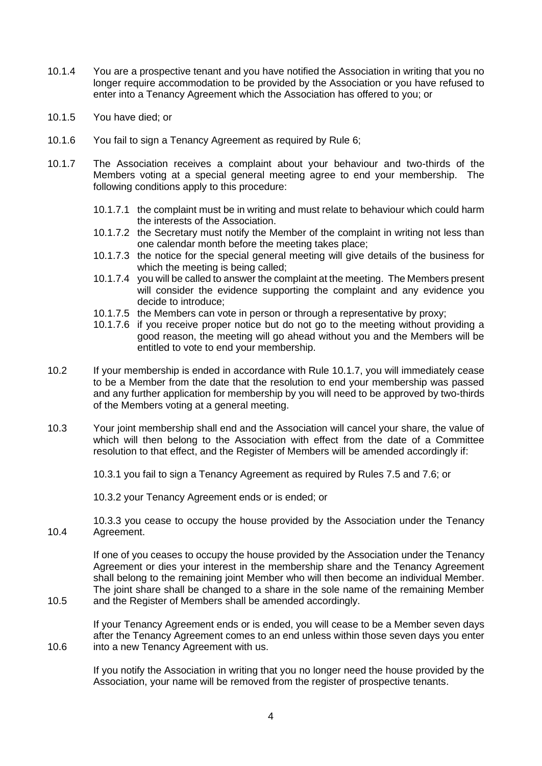- 10.1.4 You are a prospective tenant and you have notified the Association in writing that you no longer require accommodation to be provided by the Association or you have refused to enter into a Tenancy Agreement which the Association has offered to you; or
- 10.1.5 You have died; or

10.5

10.6

- 10.1.6 You fail to sign a Tenancy Agreement as required by Rule 6;
- 10.1.7 The Association receives a complaint about your behaviour and two-thirds of the Members voting at a special general meeting agree to end your membership. The following conditions apply to this procedure:
	- 10.1.7.1 the complaint must be in writing and must relate to behaviour which could harm the interests of the Association.
	- 10.1.7.2 the Secretary must notify the Member of the complaint in writing not less than one calendar month before the meeting takes place;
	- 10.1.7.3 the notice for the special general meeting will give details of the business for which the meeting is being called;
	- 10.1.7.4 you will be called to answer the complaint at the meeting. The Members present will consider the evidence supporting the complaint and any evidence you decide to introduce;
	- 10.1.7.5 the Members can vote in person or through a representative by proxy;
	- 10.1.7.6 if you receive proper notice but do not go to the meeting without providing a good reason, the meeting will go ahead without you and the Members will be entitled to vote to end your membership.
- 10.2 If your membership is ended in accordance with Rule 10.1.7, you will immediately cease to be a Member from the date that the resolution to end your membership was passed and any further application for membership by you will need to be approved by two-thirds of the Members voting at a general meeting.
- 10.3 Your joint membership shall end and the Association will cancel your share, the value of which will then belong to the Association with effect from the date of a Committee resolution to that effect, and the Register of Members will be amended accordingly if:

10.3.1 you fail to sign a Tenancy Agreement as required by Rules 7.5 and 7.6; or

10.3.2 your Tenancy Agreement ends or is ended; or

10.4 10.3.3 you cease to occupy the house provided by the Association under the Tenancy Agreement.

> If one of you ceases to occupy the house provided by the Association under the Tenancy Agreement or dies your interest in the membership share and the Tenancy Agreement shall belong to the remaining joint Member who will then become an individual Member. The joint share shall be changed to a share in the sole name of the remaining Member and the Register of Members shall be amended accordingly.

If your Tenancy Agreement ends or is ended, you will cease to be a Member seven days after the Tenancy Agreement comes to an end unless within those seven days you enter into a new Tenancy Agreement with us.

If you notify the Association in writing that you no longer need the house provided by the Association, your name will be removed from the register of prospective tenants.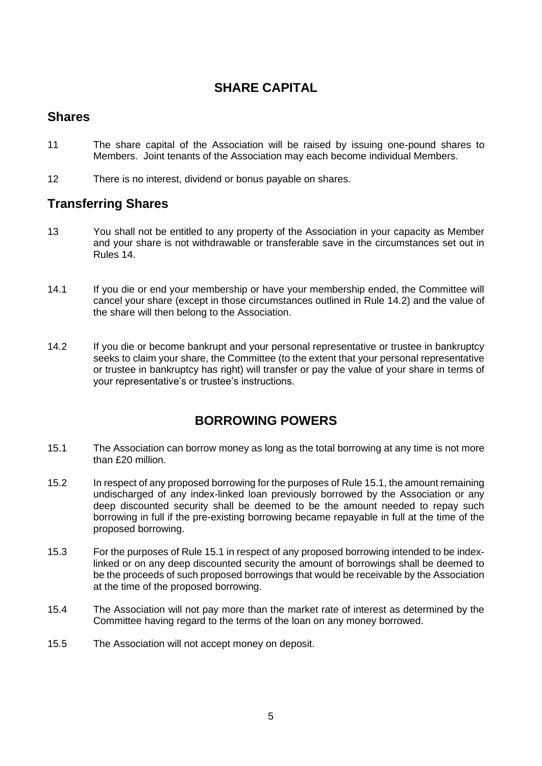#### **SHARE CAPITAL**

#### **Shares**

- 11 The share capital of the Association will be raised by issuing one-pound shares to Members. Joint tenants of the Association may each become individual Members.
- 12 There is no interest, dividend or bonus payable on shares.

#### **Transferring Shares**

- 13 You shall not be entitled to any property of the Association in your capacity as Member and your share is not withdrawable or transferable save in the circumstances set out in Rules 14.
- 14.1 If you die or end your membership or have your membership ended, the Committee will cancel your share (except in those circumstances outlined in Rule 14.2) and the value of the share will then belong to the Association.
- 14.2 If you die or become bankrupt and your personal representative or trustee in bankruptcy seeks to claim your share, the Committee (to the extent that your personal representative or trustee in bankruptcy has right) will transfer or pay the value of your share in terms of your representative's or trustee's instructions.

#### **BORROWING POWERS**

- 15.1 The Association can borrow money as long as the total borrowing at any time is not more than £20 million.
- 15.2 In respect of any proposed borrowing for the purposes of Rule 15.1, the amount remaining undischarged of any index-linked loan previously borrowed by the Association or any deep discounted security shall be deemed to be the amount needed to repay such borrowing in full if the pre-existing borrowing became repayable in full at the time of the proposed borrowing.
- 15.3 For the purposes of Rule 15.1 in respect of any proposed borrowing intended to be indexlinked or on any deep discounted security the amount of borrowings shall be deemed to be the proceeds of such proposed borrowings that would be receivable by the Association at the time of the proposed borrowing.
- 15.4 The Association will not pay more than the market rate of interest as determined by the Committee having regard to the terms of the loan on any money borrowed.
- 15.5 The Association will not accept money on deposit.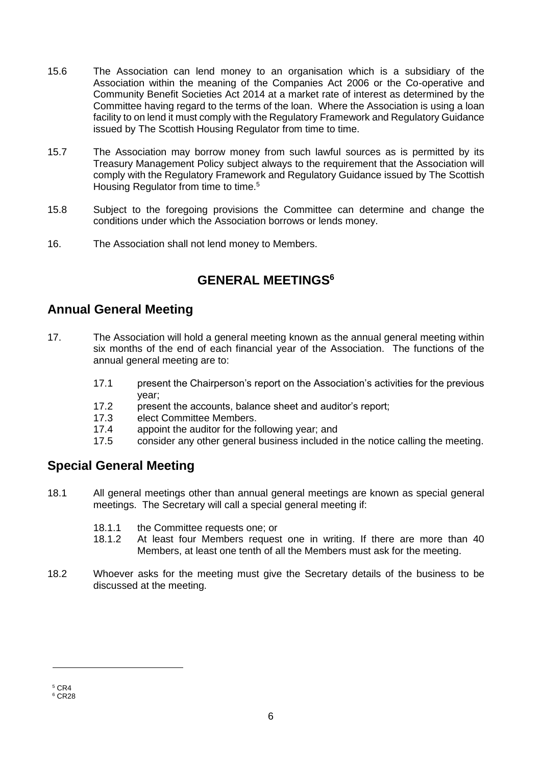- 15.6 The Association can lend money to an organisation which is a subsidiary of the Association within the meaning of the Companies Act 2006 or the Co-operative and Community Benefit Societies Act 2014 at a market rate of interest as determined by the Committee having regard to the terms of the loan. Where the Association is using a loan facility to on lend it must comply with the Regulatory Framework and Regulatory Guidance issued by The Scottish Housing Regulator from time to time.
- 15.7 The Association may borrow money from such lawful sources as is permitted by its Treasury Management Policy subject always to the requirement that the Association will comply with the Regulatory Framework and Regulatory Guidance issued by The Scottish Housing Regulator from time to time.<sup>5</sup>
- 15.8 Subject to the foregoing provisions the Committee can determine and change the conditions under which the Association borrows or lends money.
- 16. The Association shall not lend money to Members.

#### **GENERAL MEETINGS<sup>6</sup>**

#### **Annual General Meeting**

- 17. The Association will hold a general meeting known as the annual general meeting within six months of the end of each financial year of the Association. The functions of the annual general meeting are to:
	- 17.1 present the Chairperson's report on the Association's activities for the previous year;
	- 17.2 present the accounts, balance sheet and auditor's report;
	- 17.3 elect Committee Members.
	- 17.4 appoint the auditor for the following year; and
	- 17.5 consider any other general business included in the notice calling the meeting.

#### **Special General Meeting**

- 18.1 All general meetings other than annual general meetings are known as special general meetings. The Secretary will call a special general meeting if:
	- 18.1.1 the Committee requests one; or
	- 18.1.2 At least four Members request one in writing. If there are more than 40 Members, at least one tenth of all the Members must ask for the meeting.
- 18.2 Whoever asks for the meeting must give the Secretary details of the business to be discussed at the meeting.

<sup>5</sup> CR4 <sup>6</sup> CR28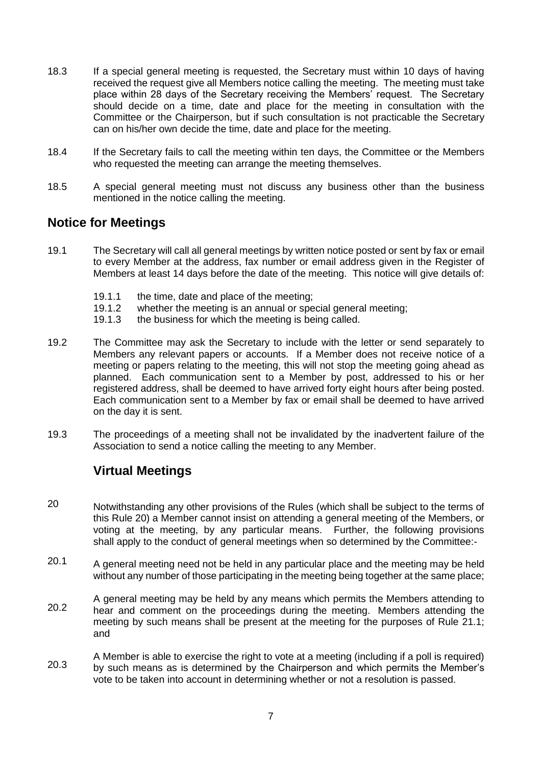- 18.3 If a special general meeting is requested, the Secretary must within 10 days of having received the request give all Members notice calling the meeting. The meeting must take place within 28 days of the Secretary receiving the Members' request. The Secretary should decide on a time, date and place for the meeting in consultation with the Committee or the Chairperson, but if such consultation is not practicable the Secretary can on his/her own decide the time, date and place for the meeting.
- 18.4 If the Secretary fails to call the meeting within ten days, the Committee or the Members who requested the meeting can arrange the meeting themselves.
- 18.5 A special general meeting must not discuss any business other than the business mentioned in the notice calling the meeting.

#### **Notice for Meetings**

- 19.1 The Secretary will call all general meetings by written notice posted or sent by fax or email to every Member at the address, fax number or email address given in the Register of Members at least 14 days before the date of the meeting. This notice will give details of:
	- 19.1.1 the time, date and place of the meeting;
	- 19.1.2 whether the meeting is an annual or special general meeting;
	- 19.1.3 the business for which the meeting is being called.
- 19.2 The Committee may ask the Secretary to include with the letter or send separately to Members any relevant papers or accounts. If a Member does not receive notice of a meeting or papers relating to the meeting, this will not stop the meeting going ahead as planned. Each communication sent to a Member by post, addressed to his or her registered address, shall be deemed to have arrived forty eight hours after being posted. Each communication sent to a Member by fax or email shall be deemed to have arrived on the day it is sent.
- 19.3 The proceedings of a meeting shall not be invalidated by the inadvertent failure of the Association to send a notice calling the meeting to any Member.

#### **Virtual Meetings**

- 20 Notwithstanding any other provisions of the Rules (which shall be subject to the terms of this Rule 20) a Member cannot insist on attending a general meeting of the Members, or voting at the meeting, by any particular means. Further, the following provisions shall apply to the conduct of general meetings when so determined by the Committee:-
- 20.1 A general meeting need not be held in any particular place and the meeting may be held without any number of those participating in the meeting being together at the same place;
- 20.2 A general meeting may be held by any means which permits the Members attending to hear and comment on the proceedings during the meeting. Members attending the meeting by such means shall be present at the meeting for the purposes of Rule 21.1; and
- 20.3 A Member is able to exercise the right to vote at a meeting (including if a poll is required) by such means as is determined by the Chairperson and which permits the Member's vote to be taken into account in determining whether or not a resolution is passed.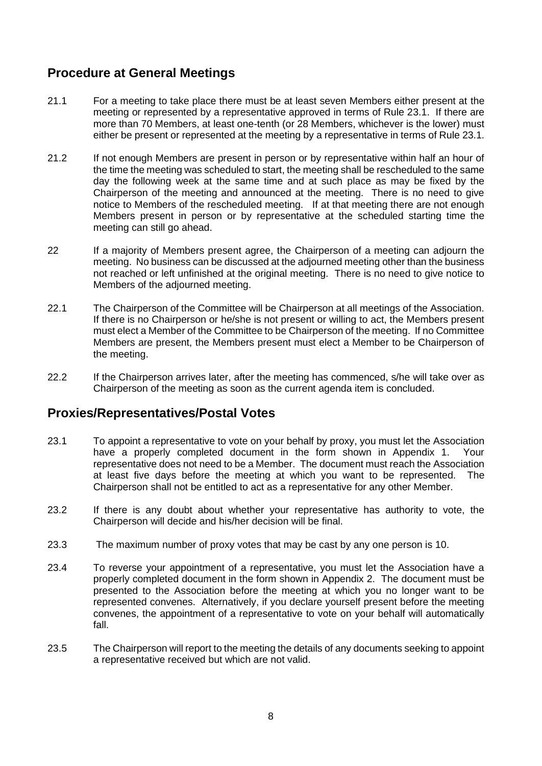#### **Procedure at General Meetings**

- 21.1 For a meeting to take place there must be at least seven Members either present at the meeting or represented by a representative approved in terms of Rule 23.1. If there are more than 70 Members, at least one-tenth (or 28 Members, whichever is the lower) must either be present or represented at the meeting by a representative in terms of Rule 23.1.
- 21.2 If not enough Members are present in person or by representative within half an hour of the time the meeting was scheduled to start, the meeting shall be rescheduled to the same day the following week at the same time and at such place as may be fixed by the Chairperson of the meeting and announced at the meeting. There is no need to give notice to Members of the rescheduled meeting. If at that meeting there are not enough Members present in person or by representative at the scheduled starting time the meeting can still go ahead.
- 22 If a majority of Members present agree, the Chairperson of a meeting can adjourn the meeting. No business can be discussed at the adjourned meeting other than the business not reached or left unfinished at the original meeting. There is no need to give notice to Members of the adjourned meeting.
- 22.1 The Chairperson of the Committee will be Chairperson at all meetings of the Association. If there is no Chairperson or he/she is not present or willing to act, the Members present must elect a Member of the Committee to be Chairperson of the meeting. If no Committee Members are present, the Members present must elect a Member to be Chairperson of the meeting.
- 22.2 If the Chairperson arrives later, after the meeting has commenced, s/he will take over as Chairperson of the meeting as soon as the current agenda item is concluded.

#### **Proxies/Representatives/Postal Votes**

- 23.1 To appoint a representative to vote on your behalf by proxy, you must let the Association have a properly completed document in the form shown in Appendix 1. Your representative does not need to be a Member. The document must reach the Association at least five days before the meeting at which you want to be represented. The Chairperson shall not be entitled to act as a representative for any other Member.
- 23.2 If there is any doubt about whether your representative has authority to vote, the Chairperson will decide and his/her decision will be final.
- 23.3 The maximum number of proxy votes that may be cast by any one person is 10.
- 23.4 To reverse your appointment of a representative, you must let the Association have a properly completed document in the form shown in Appendix 2. The document must be presented to the Association before the meeting at which you no longer want to be represented convenes. Alternatively, if you declare yourself present before the meeting convenes, the appointment of a representative to vote on your behalf will automatically fall.
- 23.5 The Chairperson will report to the meeting the details of any documents seeking to appoint a representative received but which are not valid.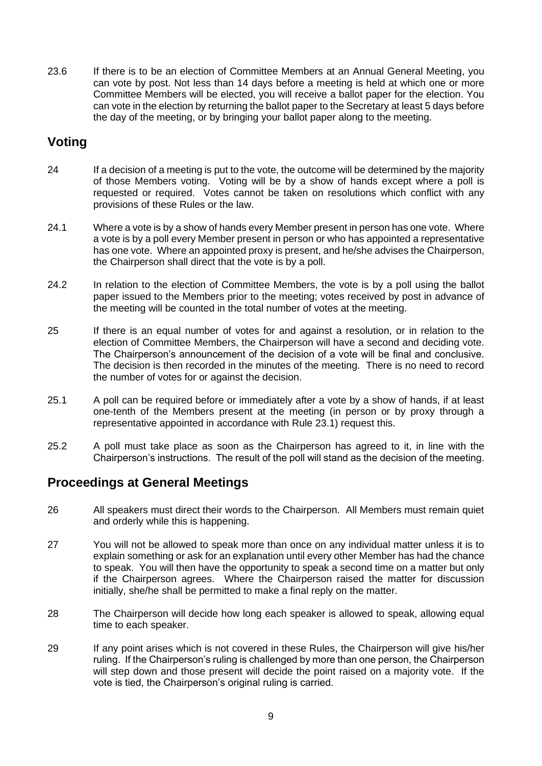23.6 If there is to be an election of Committee Members at an Annual General Meeting, you can vote by post. Not less than 14 days before a meeting is held at which one or more Committee Members will be elected, you will receive a ballot paper for the election. You can vote in the election by returning the ballot paper to the Secretary at least 5 days before the day of the meeting, or by bringing your ballot paper along to the meeting.

#### **Voting**

- 24 If a decision of a meeting is put to the vote, the outcome will be determined by the majority of those Members voting. Voting will be by a show of hands except where a poll is requested or required. Votes cannot be taken on resolutions which conflict with any provisions of these Rules or the law.
- 24.1 Where a vote is by a show of hands every Member present in person has one vote. Where a vote is by a poll every Member present in person or who has appointed a representative has one vote. Where an appointed proxy is present, and he/she advises the Chairperson, the Chairperson shall direct that the vote is by a poll.
- 24.2 In relation to the election of Committee Members, the vote is by a poll using the ballot paper issued to the Members prior to the meeting; votes received by post in advance of the meeting will be counted in the total number of votes at the meeting.
- 25 If there is an equal number of votes for and against a resolution, or in relation to the election of Committee Members, the Chairperson will have a second and deciding vote. The Chairperson's announcement of the decision of a vote will be final and conclusive. The decision is then recorded in the minutes of the meeting. There is no need to record the number of votes for or against the decision.
- 25.1 A poll can be required before or immediately after a vote by a show of hands, if at least one-tenth of the Members present at the meeting (in person or by proxy through a representative appointed in accordance with Rule 23.1) request this.
- 25.2 A poll must take place as soon as the Chairperson has agreed to it, in line with the Chairperson's instructions. The result of the poll will stand as the decision of the meeting.

#### **Proceedings at General Meetings**

- 26 All speakers must direct their words to the Chairperson. All Members must remain quiet and orderly while this is happening.
- 27 You will not be allowed to speak more than once on any individual matter unless it is to explain something or ask for an explanation until every other Member has had the chance to speak. You will then have the opportunity to speak a second time on a matter but only if the Chairperson agrees. Where the Chairperson raised the matter for discussion initially, she/he shall be permitted to make a final reply on the matter.
- 28 The Chairperson will decide how long each speaker is allowed to speak, allowing equal time to each speaker.
- 29 If any point arises which is not covered in these Rules, the Chairperson will give his/her ruling. If the Chairperson's ruling is challenged by more than one person, the Chairperson will step down and those present will decide the point raised on a majority vote. If the vote is tied, the Chairperson's original ruling is carried.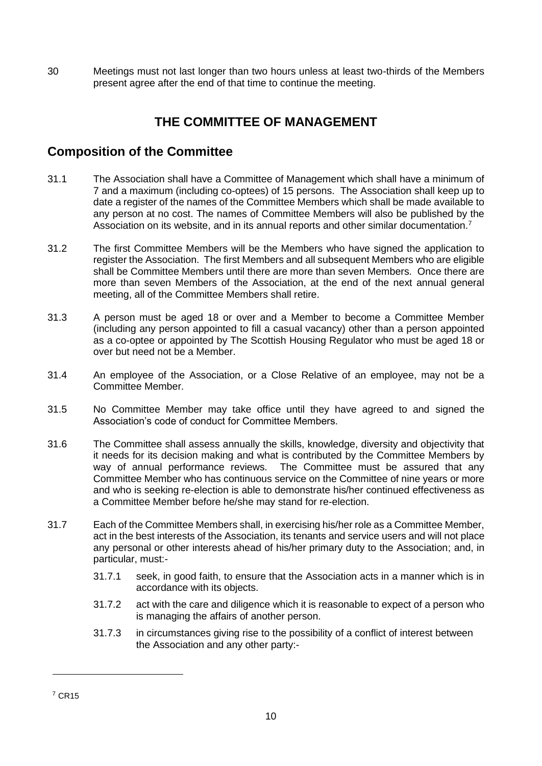30 Meetings must not last longer than two hours unless at least two-thirds of the Members present agree after the end of that time to continue the meeting.

#### **THE COMMITTEE OF MANAGEMENT**

#### **Composition of the Committee**

- 31.1 The Association shall have a Committee of Management which shall have a minimum of 7 and a maximum (including co-optees) of 15 persons. The Association shall keep up to date a register of the names of the Committee Members which shall be made available to any person at no cost. The names of Committee Members will also be published by the Association on its website, and in its annual reports and other similar documentation.<sup>7</sup>
- 31.2 The first Committee Members will be the Members who have signed the application to register the Association. The first Members and all subsequent Members who are eligible shall be Committee Members until there are more than seven Members. Once there are more than seven Members of the Association, at the end of the next annual general meeting, all of the Committee Members shall retire.
- 31.3 A person must be aged 18 or over and a Member to become a Committee Member (including any person appointed to fill a casual vacancy) other than a person appointed as a co-optee or appointed by The Scottish Housing Regulator who must be aged 18 or over but need not be a Member.
- 31.4 An employee of the Association, or a Close Relative of an employee, may not be a Committee Member.
- 31.5 No Committee Member may take office until they have agreed to and signed the Association's code of conduct for Committee Members.
- 31.6 The Committee shall assess annually the skills, knowledge, diversity and objectivity that it needs for its decision making and what is contributed by the Committee Members by way of annual performance reviews. The Committee must be assured that any Committee Member who has continuous service on the Committee of nine years or more and who is seeking re-election is able to demonstrate his/her continued effectiveness as a Committee Member before he/she may stand for re-election.
- 31.7 Each of the Committee Members shall, in exercising his/her role as a Committee Member, act in the best interests of the Association, its tenants and service users and will not place any personal or other interests ahead of his/her primary duty to the Association; and, in particular, must:-
	- 31.7.1 seek, in good faith, to ensure that the Association acts in a manner which is in accordance with its objects.
	- 31.7.2 act with the care and diligence which it is reasonable to expect of a person who is managing the affairs of another person.
	- 31.7.3 in circumstances giving rise to the possibility of a conflict of interest between the Association and any other party:-

<sup>7</sup> CR15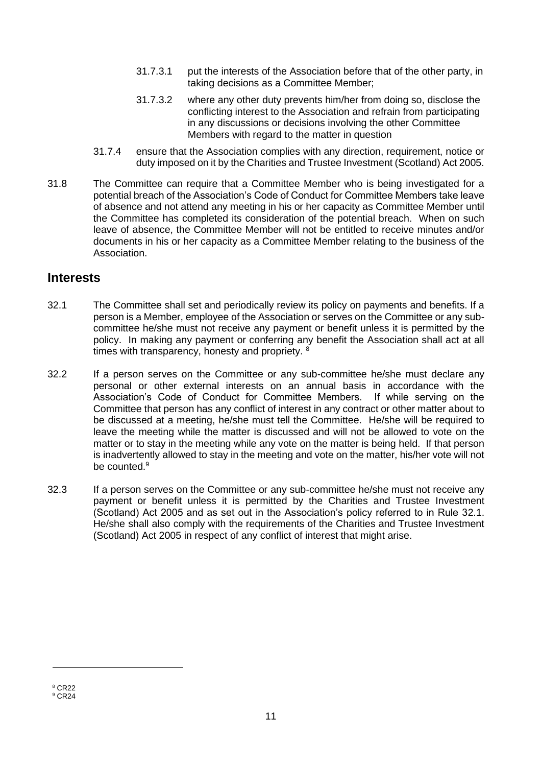- 31.7.3.1 put the interests of the Association before that of the other party, in taking decisions as a Committee Member;
- 31.7.3.2 where any other duty prevents him/her from doing so, disclose the conflicting interest to the Association and refrain from participating in any discussions or decisions involving the other Committee Members with regard to the matter in question
- 31.7.4 ensure that the Association complies with any direction, requirement, notice or duty imposed on it by the Charities and Trustee Investment (Scotland) Act 2005.
- 31.8 The Committee can require that a Committee Member who is being investigated for a potential breach of the Association's Code of Conduct for Committee Members take leave of absence and not attend any meeting in his or her capacity as Committee Member until the Committee has completed its consideration of the potential breach. When on such leave of absence, the Committee Member will not be entitled to receive minutes and/or documents in his or her capacity as a Committee Member relating to the business of the Association.

#### **Interests**

- 32.1 The Committee shall set and periodically review its policy on payments and benefits. If a person is a Member, employee of the Association or serves on the Committee or any subcommittee he/she must not receive any payment or benefit unless it is permitted by the policy. In making any payment or conferring any benefit the Association shall act at all times with transparency, honesty and propriety. <sup>8</sup>
- 32.2 If a person serves on the Committee or any sub-committee he/she must declare any personal or other external interests on an annual basis in accordance with the Association's Code of Conduct for Committee Members. If while serving on the Committee that person has any conflict of interest in any contract or other matter about to be discussed at a meeting, he/she must tell the Committee. He/she will be required to leave the meeting while the matter is discussed and will not be allowed to vote on the matter or to stay in the meeting while any vote on the matter is being held. If that person is inadvertently allowed to stay in the meeting and vote on the matter, his/her vote will not be counted.<sup>9</sup>
- 32.3 If a person serves on the Committee or any sub-committee he/she must not receive any payment or benefit unless it is permitted by the Charities and Trustee Investment (Scotland) Act 2005 and as set out in the Association's policy referred to in Rule 32.1. He/she shall also comply with the requirements of the Charities and Trustee Investment (Scotland) Act 2005 in respect of any conflict of interest that might arise.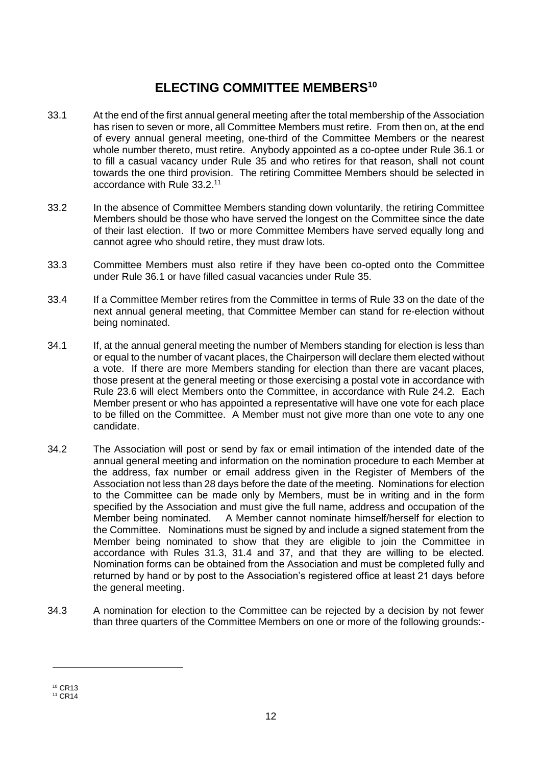#### **ELECTING COMMITTEE MEMBERS<sup>10</sup>**

- 33.1 At the end of the first annual general meeting after the total membership of the Association has risen to seven or more, all Committee Members must retire. From then on, at the end of every annual general meeting, one-third of the Committee Members or the nearest whole number thereto, must retire. Anybody appointed as a co-optee under Rule 36.1 or to fill a casual vacancy under Rule 35 and who retires for that reason, shall not count towards the one third provision. The retiring Committee Members should be selected in accordance with Rule 33.2.<sup>11</sup>
- 33.2 In the absence of Committee Members standing down voluntarily, the retiring Committee Members should be those who have served the longest on the Committee since the date of their last election. If two or more Committee Members have served equally long and cannot agree who should retire, they must draw lots.
- 33.3 Committee Members must also retire if they have been co-opted onto the Committee under Rule 36.1 or have filled casual vacancies under Rule 35.
- 33.4 If a Committee Member retires from the Committee in terms of Rule 33 on the date of the next annual general meeting, that Committee Member can stand for re-election without being nominated.
- 34.1 If, at the annual general meeting the number of Members standing for election is less than or equal to the number of vacant places, the Chairperson will declare them elected without a vote. If there are more Members standing for election than there are vacant places, those present at the general meeting or those exercising a postal vote in accordance with Rule 23.6 will elect Members onto the Committee, in accordance with Rule 24.2. Each Member present or who has appointed a representative will have one vote for each place to be filled on the Committee. A Member must not give more than one vote to any one candidate.
- 34.2 The Association will post or send by fax or email intimation of the intended date of the annual general meeting and information on the nomination procedure to each Member at the address, fax number or email address given in the Register of Members of the Association not less than 28 days before the date of the meeting. Nominations for election to the Committee can be made only by Members, must be in writing and in the form specified by the Association and must give the full name, address and occupation of the Member being nominated. A Member cannot nominate himself/herself for election to the Committee. Nominations must be signed by and include a signed statement from the Member being nominated to show that they are eligible to join the Committee in accordance with Rules 31.3, 31.4 and 37, and that they are willing to be elected. Nomination forms can be obtained from the Association and must be completed fully and returned by hand or by post to the Association's registered office at least 21 days before the general meeting.
- 34.3 A nomination for election to the Committee can be rejected by a decision by not fewer than three quarters of the Committee Members on one or more of the following grounds:-

<sup>10</sup> CR13

<sup>11</sup> CR14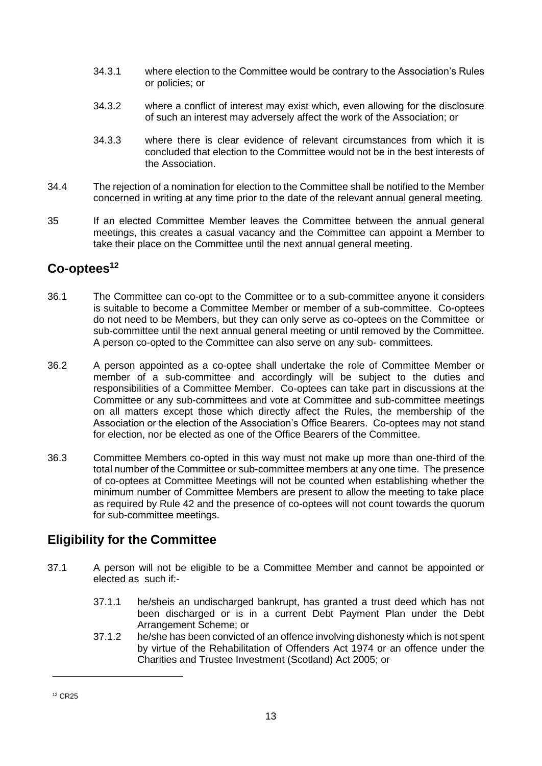- 34.3.1 where election to the Committee would be contrary to the Association's Rules or policies; or
- 34.3.2 where a conflict of interest may exist which, even allowing for the disclosure of such an interest may adversely affect the work of the Association; or
- 34.3.3 where there is clear evidence of relevant circumstances from which it is concluded that election to the Committee would not be in the best interests of the Association.
- 34.4 The rejection of a nomination for election to the Committee shall be notified to the Member concerned in writing at any time prior to the date of the relevant annual general meeting.
- 35 If an elected Committee Member leaves the Committee between the annual general meetings, this creates a casual vacancy and the Committee can appoint a Member to take their place on the Committee until the next annual general meeting.

#### **Co-optees<sup>12</sup>**

- 36.1 The Committee can co-opt to the Committee or to a sub-committee anyone it considers is suitable to become a Committee Member or member of a sub-committee. Co-optees do not need to be Members, but they can only serve as co-optees on the Committee or sub-committee until the next annual general meeting or until removed by the Committee. A person co-opted to the Committee can also serve on any sub- committees.
- 36.2 A person appointed as a co-optee shall undertake the role of Committee Member or member of a sub-committee and accordingly will be subject to the duties and responsibilities of a Committee Member. Co-optees can take part in discussions at the Committee or any sub-committees and vote at Committee and sub-committee meetings on all matters except those which directly affect the Rules, the membership of the Association or the election of the Association's Office Bearers. Co-optees may not stand for election, nor be elected as one of the Office Bearers of the Committee.
- 36.3 Committee Members co-opted in this way must not make up more than one-third of the total number of the Committee or sub-committee members at any one time. The presence of co-optees at Committee Meetings will not be counted when establishing whether the minimum number of Committee Members are present to allow the meeting to take place as required by Rule 42 and the presence of co-optees will not count towards the quorum for sub-committee meetings.

#### **Eligibility for the Committee**

- 37.1 A person will not be eligible to be a Committee Member and cannot be appointed or elected as such if:-
	- 37.1.1 he/sheis an undischarged bankrupt, has granted a trust deed which has not been discharged or is in a current Debt Payment Plan under the Debt Arrangement Scheme; or
	- 37.1.2 he/she has been convicted of an offence involving dishonesty which is not spent by virtue of the Rehabilitation of Offenders Act 1974 or an offence under the Charities and Trustee Investment (Scotland) Act 2005; or

<sup>12</sup> CR25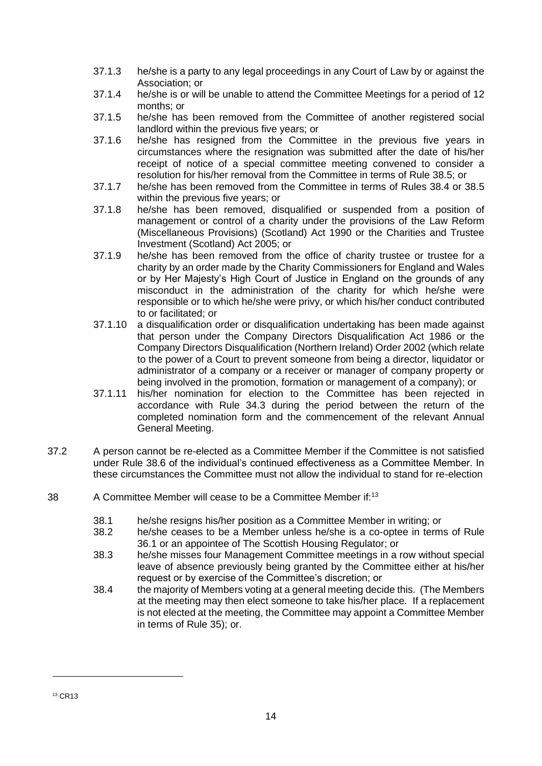- 37.1.3 he/she is a party to any legal proceedings in any Court of Law by or against the Association; or
- 37.1.4 he/she is or will be unable to attend the Committee Meetings for a period of 12 months; or
- 37.1.5 he/she has been removed from the Committee of another registered social landlord within the previous five years; or
- 37.1.6 he/she has resigned from the Committee in the previous five years in circumstances where the resignation was submitted after the date of his/her receipt of notice of a special committee meeting convened to consider a resolution for his/her removal from the Committee in terms of Rule 38.5; or
- 37.1.7 he/she has been removed from the Committee in terms of Rules 38.4 or 38.5 within the previous five years; or
- 37.1.8 he/she has been removed, disqualified or suspended from a position of management or control of a charity under the provisions of the Law Reform (Miscellaneous Provisions) (Scotland) Act 1990 or the Charities and Trustee Investment (Scotland) Act 2005; or
- 37.1.9 he/she has been removed from the office of charity trustee or trustee for a charity by an order made by the Charity Commissioners for England and Wales or by Her Majesty's High Court of Justice in England on the grounds of any misconduct in the administration of the charity for which he/she were responsible or to which he/she were privy, or which his/her conduct contributed to or facilitated; or
- 37.1.10 a disqualification order or disqualification undertaking has been made against that person under the Company Directors Disqualification Act 1986 or the Company Directors Disqualification (Northern Ireland) Order 2002 (which relate to the power of a Court to prevent someone from being a director, liquidator or administrator of a company or a receiver or manager of company property or being involved in the promotion, formation or management of a company); or
- 37.1.11 his/her nomination for election to the Committee has been rejected in accordance with Rule 34.3 during the period between the return of the completed nomination form and the commencement of the relevant Annual General Meeting.
- 37.2 A person cannot be re-elected as a Committee Member if the Committee is not satisfied under Rule 38.6 of the individual's continued effectiveness as a Committee Member. In these circumstances the Committee must not allow the individual to stand for re-election
- 38 A Committee Member will cease to be a Committee Member if:<sup>13</sup>
	- 38.1 he/she resigns his/her position as a Committee Member in writing; or 38.2 he/she ceases to be a Member unless he/she is a co-optee in term
	- he/she ceases to be a Member unless he/she is a co-optee in terms of Rule 36.1 or an appointee of The Scottish Housing Regulator; or
	- 38.3 he/she misses four Management Committee meetings in a row without special leave of absence previously being granted by the Committee either at his/her request or by exercise of the Committee's discretion; or
	- 38.4 the majority of Members voting at a general meeting decide this. (The Members at the meeting may then elect someone to take his/her place. If a replacement is not elected at the meeting, the Committee may appoint a Committee Member in terms of Rule 35); or.

<sup>13</sup> CR13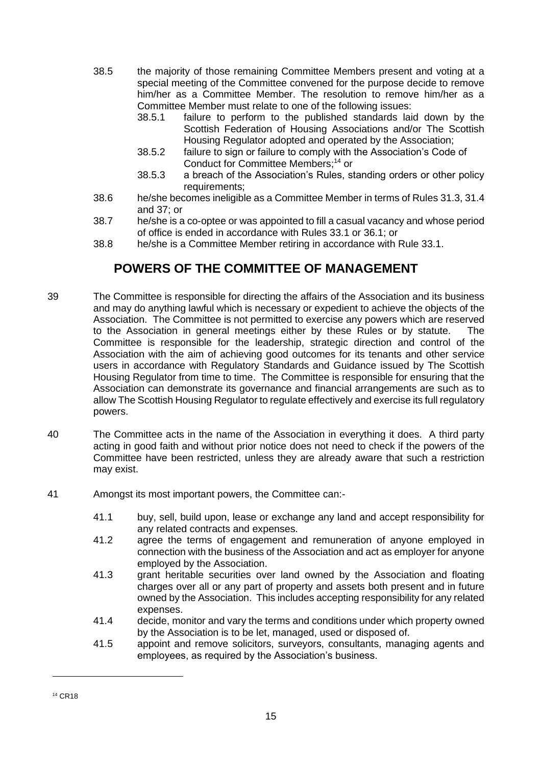- 38.5 the majority of those remaining Committee Members present and voting at a special meeting of the Committee convened for the purpose decide to remove him/her as a Committee Member. The resolution to remove him/her as a Committee Member must relate to one of the following issues:
	- 38.5.1 failure to perform to the published standards laid down by the Scottish Federation of Housing Associations and/or The Scottish Housing Regulator adopted and operated by the Association;
	- 38.5.2 failure to sign or failure to comply with the Association's Code of Conduct for Committee Members;<sup>14</sup> or
	- 38.5.3 a breach of the Association's Rules, standing orders or other policy requirements:
- 38.6 he/she becomes ineligible as a Committee Member in terms of Rules 31.3, 31.4 and 37; or
- 38.7 he/she is a co-optee or was appointed to fill a casual vacancy and whose period of office is ended in accordance with Rules 33.1 or 36.1; or
- 38.8 he/she is a Committee Member retiring in accordance with Rule 33.1.

#### **POWERS OF THE COMMITTEE OF MANAGEMENT**

- 39 The Committee is responsible for directing the affairs of the Association and its business and may do anything lawful which is necessary or expedient to achieve the objects of the Association. The Committee is not permitted to exercise any powers which are reserved to the Association in general meetings either by these Rules or by statute. The Committee is responsible for the leadership, strategic direction and control of the Association with the aim of achieving good outcomes for its tenants and other service users in accordance with Regulatory Standards and Guidance issued by The Scottish Housing Regulator from time to time. The Committee is responsible for ensuring that the Association can demonstrate its governance and financial arrangements are such as to allow The Scottish Housing Regulator to regulate effectively and exercise its full regulatory powers.
- 40 The Committee acts in the name of the Association in everything it does. A third party acting in good faith and without prior notice does not need to check if the powers of the Committee have been restricted, unless they are already aware that such a restriction may exist.
- 41 Amongst its most important powers, the Committee can:-
	- 41.1 buy, sell, build upon, lease or exchange any land and accept responsibility for any related contracts and expenses.
	- 41.2 agree the terms of engagement and remuneration of anyone employed in connection with the business of the Association and act as employer for anyone employed by the Association.
	- 41.3 grant heritable securities over land owned by the Association and floating charges over all or any part of property and assets both present and in future owned by the Association. This includes accepting responsibility for any related expenses.
	- 41.4 decide, monitor and vary the terms and conditions under which property owned by the Association is to be let, managed, used or disposed of.
	- 41.5 appoint and remove solicitors, surveyors, consultants, managing agents and employees, as required by the Association's business.

<sup>14</sup> CR18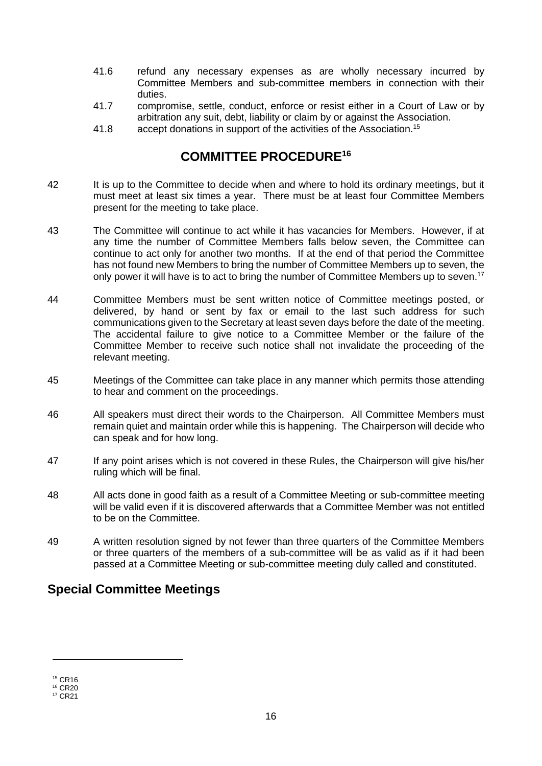- 41.6 refund any necessary expenses as are wholly necessary incurred by Committee Members and sub-committee members in connection with their duties.
- 41.7 compromise, settle, conduct, enforce or resist either in a Court of Law or by arbitration any suit, debt, liability or claim by or against the Association.
- 41.8 accept donations in support of the activities of the Association.<sup>15</sup>

#### **COMMITTEE PROCEDURE<sup>16</sup>**

- 42 It is up to the Committee to decide when and where to hold its ordinary meetings, but it must meet at least six times a year. There must be at least four Committee Members present for the meeting to take place.
- 43 The Committee will continue to act while it has vacancies for Members. However, if at any time the number of Committee Members falls below seven, the Committee can continue to act only for another two months. If at the end of that period the Committee has not found new Members to bring the number of Committee Members up to seven, the only power it will have is to act to bring the number of Committee Members up to seven.<sup>17</sup>
- 44 Committee Members must be sent written notice of Committee meetings posted, or delivered, by hand or sent by fax or email to the last such address for such communications given to the Secretary at least seven days before the date of the meeting. The accidental failure to give notice to a Committee Member or the failure of the Committee Member to receive such notice shall not invalidate the proceeding of the relevant meeting.
- 45 Meetings of the Committee can take place in any manner which permits those attending to hear and comment on the proceedings.
- 46 All speakers must direct their words to the Chairperson. All Committee Members must remain quiet and maintain order while this is happening. The Chairperson will decide who can speak and for how long.
- 47 If any point arises which is not covered in these Rules, the Chairperson will give his/her ruling which will be final.
- 48 All acts done in good faith as a result of a Committee Meeting or sub-committee meeting will be valid even if it is discovered afterwards that a Committee Member was not entitled to be on the Committee.
- 49 A written resolution signed by not fewer than three quarters of the Committee Members or three quarters of the members of a sub-committee will be as valid as if it had been passed at a Committee Meeting or sub-committee meeting duly called and constituted.

#### **Special Committee Meetings**

<sup>15</sup> CR16

<sup>16</sup> CR20 <sup>17</sup> CR21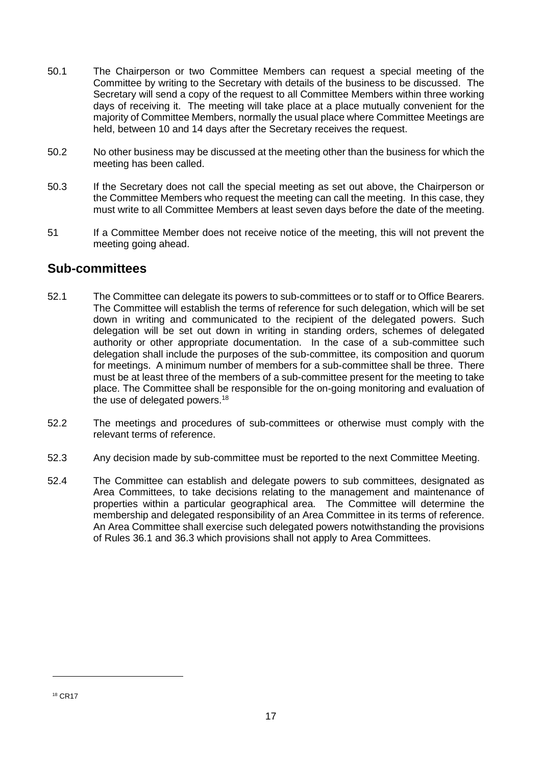- 50.1 The Chairperson or two Committee Members can request a special meeting of the Committee by writing to the Secretary with details of the business to be discussed. The Secretary will send a copy of the request to all Committee Members within three working days of receiving it. The meeting will take place at a place mutually convenient for the majority of Committee Members, normally the usual place where Committee Meetings are held, between 10 and 14 days after the Secretary receives the request.
- 50.2 No other business may be discussed at the meeting other than the business for which the meeting has been called.
- 50.3 If the Secretary does not call the special meeting as set out above, the Chairperson or the Committee Members who request the meeting can call the meeting. In this case, they must write to all Committee Members at least seven days before the date of the meeting.
- 51 If a Committee Member does not receive notice of the meeting, this will not prevent the meeting going ahead.

#### **Sub-committees**

- 52.1 The Committee can delegate its powers to sub-committees or to staff or to Office Bearers. The Committee will establish the terms of reference for such delegation, which will be set down in writing and communicated to the recipient of the delegated powers. Such delegation will be set out down in writing in standing orders, schemes of delegated authority or other appropriate documentation. In the case of a sub-committee such delegation shall include the purposes of the sub-committee, its composition and quorum for meetings. A minimum number of members for a sub-committee shall be three. There must be at least three of the members of a sub-committee present for the meeting to take place. The Committee shall be responsible for the on-going monitoring and evaluation of the use of delegated powers.<sup>18</sup>
- 52.2 The meetings and procedures of sub-committees or otherwise must comply with the relevant terms of reference.
- 52.3 Any decision made by sub-committee must be reported to the next Committee Meeting.
- 52.4 The Committee can establish and delegate powers to sub committees, designated as Area Committees, to take decisions relating to the management and maintenance of properties within a particular geographical area. The Committee will determine the membership and delegated responsibility of an Area Committee in its terms of reference. An Area Committee shall exercise such delegated powers notwithstanding the provisions of Rules 36.1 and 36.3 which provisions shall not apply to Area Committees.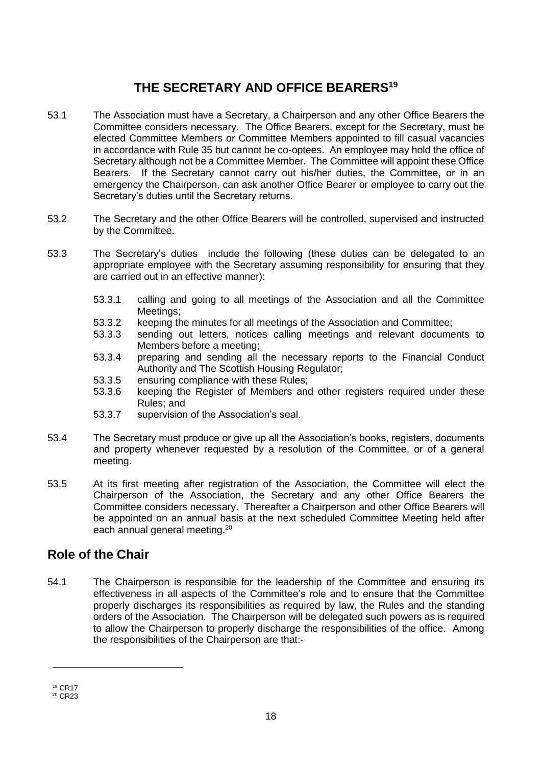#### **THE SECRETARY AND OFFICE BEARERS<sup>19</sup>**

- 53.1 The Association must have a Secretary, a Chairperson and any other Office Bearers the Committee considers necessary. The Office Bearers, except for the Secretary, must be elected Committee Members or Committee Members appointed to fill casual vacancies in accordance with Rule 35 but cannot be co-optees. An employee may hold the office of Secretary although not be a Committee Member. The Committee will appoint these Office Bearers. If the Secretary cannot carry out his/her duties, the Committee, or in an emergency the Chairperson, can ask another Office Bearer or employee to carry out the Secretary's duties until the Secretary returns.
- 53.2 The Secretary and the other Office Bearers will be controlled, supervised and instructed by the Committee.
- 53.3 The Secretary's duties include the following (these duties can be delegated to an appropriate employee with the Secretary assuming responsibility for ensuring that they are carried out in an effective manner):
	- 53.3.1 calling and going to all meetings of the Association and all the Committee Meetings;
	- 53.3.2 keeping the minutes for all meetings of the Association and Committee;
	- 53.3.3 sending out letters, notices calling meetings and relevant documents to Members before a meeting;
	- 53.3.4 preparing and sending all the necessary reports to the Financial Conduct Authority and The Scottish Housing Regulator;
	- 53.3.5 ensuring compliance with these Rules;
	- 53.3.6 keeping the Register of Members and other registers required under these Rules; and
	- 53.3.7 supervision of the Association's seal.
- 53.4 The Secretary must produce or give up all the Association's books, registers, documents and property whenever requested by a resolution of the Committee, or of a general meeting.
- 53.5 At its first meeting after registration of the Association, the Committee will elect the Chairperson of the Association, the Secretary and any other Office Bearers the Committee considers necessary. Thereafter a Chairperson and other Office Bearers will be appointed on an annual basis at the next scheduled Committee Meeting held after each annual general meeting.<sup>20</sup>

#### **Role of the Chair**

54.1 The Chairperson is responsible for the leadership of the Committee and ensuring its effectiveness in all aspects of the Committee's role and to ensure that the Committee properly discharges its responsibilities as required by law, the Rules and the standing orders of the Association. The Chairperson will be delegated such powers as is required to allow the Chairperson to properly discharge the responsibilities of the office. Among the responsibilities of the Chairperson are that:-

<sup>19</sup> CR17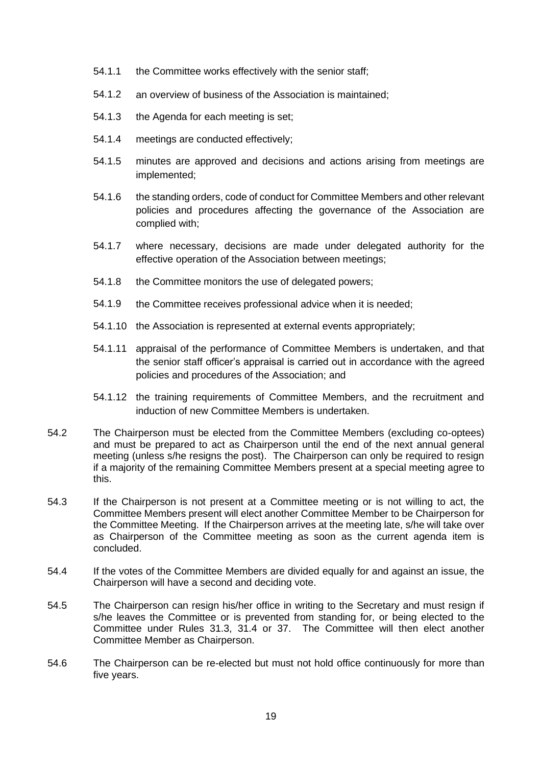- 54.1.1 the Committee works effectively with the senior staff;
- 54.1.2 an overview of business of the Association is maintained;
- 54.1.3 the Agenda for each meeting is set;
- 54.1.4 meetings are conducted effectively;
- 54.1.5 minutes are approved and decisions and actions arising from meetings are implemented;
- 54.1.6 the standing orders, code of conduct for Committee Members and other relevant policies and procedures affecting the governance of the Association are complied with;
- 54.1.7 where necessary, decisions are made under delegated authority for the effective operation of the Association between meetings;
- 54.1.8 the Committee monitors the use of delegated powers;
- 54.1.9 the Committee receives professional advice when it is needed;
- 54.1.10 the Association is represented at external events appropriately;
- 54.1.11 appraisal of the performance of Committee Members is undertaken, and that the senior staff officer's appraisal is carried out in accordance with the agreed policies and procedures of the Association; and
- 54.1.12 the training requirements of Committee Members, and the recruitment and induction of new Committee Members is undertaken.
- 54.2 The Chairperson must be elected from the Committee Members (excluding co-optees) and must be prepared to act as Chairperson until the end of the next annual general meeting (unless s/he resigns the post). The Chairperson can only be required to resign if a majority of the remaining Committee Members present at a special meeting agree to this.
- 54.3 If the Chairperson is not present at a Committee meeting or is not willing to act, the Committee Members present will elect another Committee Member to be Chairperson for the Committee Meeting. If the Chairperson arrives at the meeting late, s/he will take over as Chairperson of the Committee meeting as soon as the current agenda item is concluded.
- 54.4 If the votes of the Committee Members are divided equally for and against an issue, the Chairperson will have a second and deciding vote.
- 54.5 The Chairperson can resign his/her office in writing to the Secretary and must resign if s/he leaves the Committee or is prevented from standing for, or being elected to the Committee under Rules 31.3, 31.4 or 37. The Committee will then elect another Committee Member as Chairperson.
- 54.6 The Chairperson can be re-elected but must not hold office continuously for more than five years.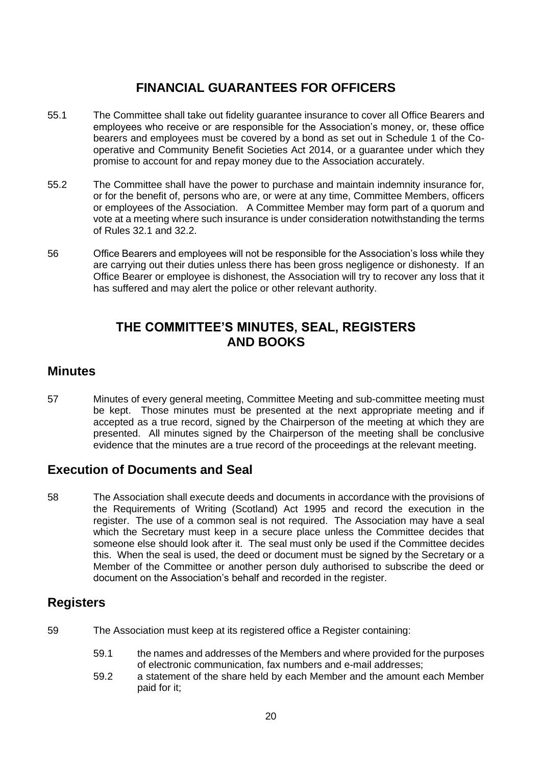#### **FINANCIAL GUARANTEES FOR OFFICERS**

- 55.1 The Committee shall take out fidelity guarantee insurance to cover all Office Bearers and employees who receive or are responsible for the Association's money, or, these office bearers and employees must be covered by a bond as set out in Schedule 1 of the Cooperative and Community Benefit Societies Act 2014, or a guarantee under which they promise to account for and repay money due to the Association accurately.
- 55.2 The Committee shall have the power to purchase and maintain indemnity insurance for, or for the benefit of, persons who are, or were at any time, Committee Members, officers or employees of the Association. A Committee Member may form part of a quorum and vote at a meeting where such insurance is under consideration notwithstanding the terms of Rules 32.1 and 32.2.
- 56 Office Bearers and employees will not be responsible for the Association's loss while they are carrying out their duties unless there has been gross negligence or dishonesty. If an Office Bearer or employee is dishonest, the Association will try to recover any loss that it has suffered and may alert the police or other relevant authority.

#### **THE COMMITTEE'S MINUTES, SEAL, REGISTERS AND BOOKS**

#### **Minutes**

57 Minutes of every general meeting, Committee Meeting and sub-committee meeting must be kept. Those minutes must be presented at the next appropriate meeting and if accepted as a true record, signed by the Chairperson of the meeting at which they are presented. All minutes signed by the Chairperson of the meeting shall be conclusive evidence that the minutes are a true record of the proceedings at the relevant meeting.

#### **Execution of Documents and Seal**

58 The Association shall execute deeds and documents in accordance with the provisions of the Requirements of Writing (Scotland) Act 1995 and record the execution in the register. The use of a common seal is not required. The Association may have a seal which the Secretary must keep in a secure place unless the Committee decides that someone else should look after it. The seal must only be used if the Committee decides this. When the seal is used, the deed or document must be signed by the Secretary or a Member of the Committee or another person duly authorised to subscribe the deed or document on the Association's behalf and recorded in the register.

#### **Registers**

- 59 The Association must keep at its registered office a Register containing:
	- 59.1 the names and addresses of the Members and where provided for the purposes of electronic communication, fax numbers and e-mail addresses;
	- 59.2 a statement of the share held by each Member and the amount each Member paid for it;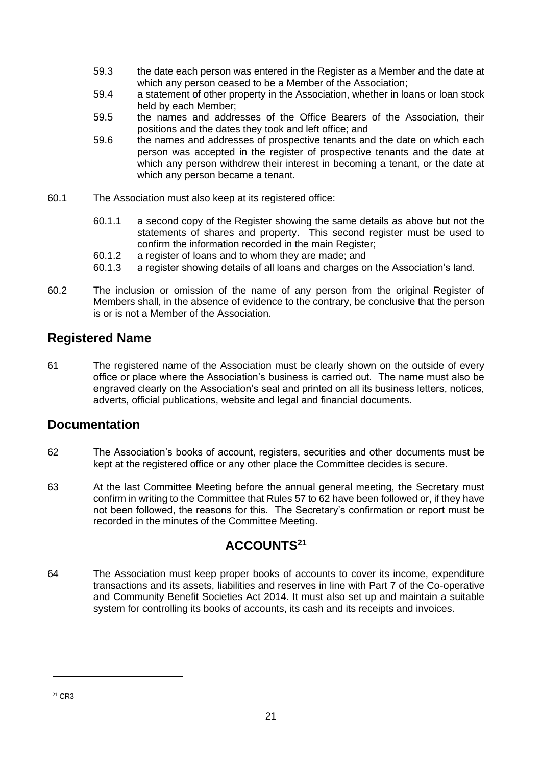- 59.3 the date each person was entered in the Register as a Member and the date at which any person ceased to be a Member of the Association;
- 59.4 a statement of other property in the Association, whether in loans or loan stock held by each Member;
- 59.5 the names and addresses of the Office Bearers of the Association, their positions and the dates they took and left office; and
- 59.6 the names and addresses of prospective tenants and the date on which each person was accepted in the register of prospective tenants and the date at which any person withdrew their interest in becoming a tenant, or the date at which any person became a tenant.
- 60.1 The Association must also keep at its registered office:
	- 60.1.1 a second copy of the Register showing the same details as above but not the statements of shares and property. This second register must be used to confirm the information recorded in the main Register;
	- 60.1.2 a register of loans and to whom they are made; and
	- 60.1.3 a register showing details of all loans and charges on the Association's land.
- 60.2 The inclusion or omission of the name of any person from the original Register of Members shall, in the absence of evidence to the contrary, be conclusive that the person is or is not a Member of the Association.

#### **Registered Name**

61 The registered name of the Association must be clearly shown on the outside of every office or place where the Association's business is carried out. The name must also be engraved clearly on the Association's seal and printed on all its business letters, notices, adverts, official publications, website and legal and financial documents.

#### **Documentation**

- 62 The Association's books of account, registers, securities and other documents must be kept at the registered office or any other place the Committee decides is secure.
- 63 At the last Committee Meeting before the annual general meeting, the Secretary must confirm in writing to the Committee that Rules 57 to 62 have been followed or, if they have not been followed, the reasons for this. The Secretary's confirmation or report must be recorded in the minutes of the Committee Meeting.

#### **ACCOUNTS<sup>21</sup>**

64 The Association must keep proper books of accounts to cover its income, expenditure transactions and its assets, liabilities and reserves in line with Part 7 of the Co-operative and Community Benefit Societies Act 2014. It must also set up and maintain a suitable system for controlling its books of accounts, its cash and its receipts and invoices.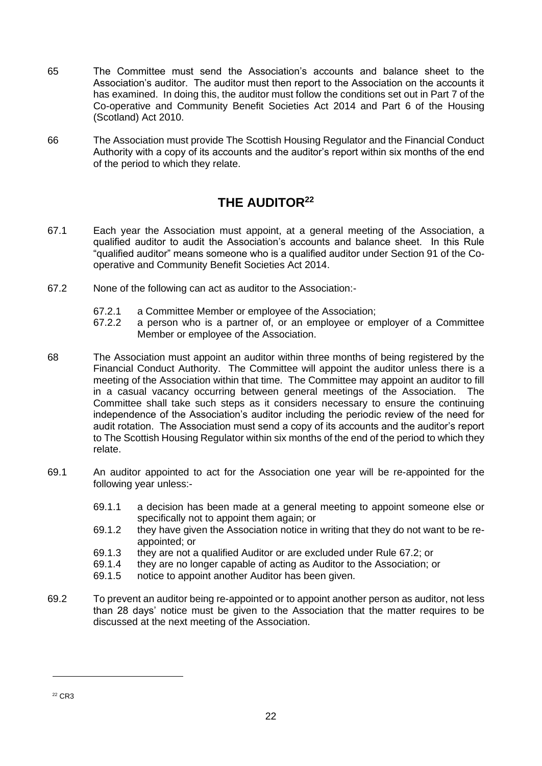- 65 The Committee must send the Association's accounts and balance sheet to the Association's auditor. The auditor must then report to the Association on the accounts it has examined. In doing this, the auditor must follow the conditions set out in Part 7 of the Co-operative and Community Benefit Societies Act 2014 and Part 6 of the Housing (Scotland) Act 2010.
- 66 The Association must provide The Scottish Housing Regulator and the Financial Conduct Authority with a copy of its accounts and the auditor's report within six months of the end of the period to which they relate.

#### **THE AUDITOR<sup>22</sup>**

- 67.1 Each year the Association must appoint, at a general meeting of the Association, a qualified auditor to audit the Association's accounts and balance sheet. In this Rule "qualified auditor" means someone who is a qualified auditor under Section 91 of the Cooperative and Community Benefit Societies Act 2014.
- 67.2 None of the following can act as auditor to the Association:-
	- 67.2.1 a Committee Member or employee of the Association;
	- 67.2.2 a person who is a partner of, or an employee or employer of a Committee Member or employee of the Association.
- 68 The Association must appoint an auditor within three months of being registered by the Financial Conduct Authority. The Committee will appoint the auditor unless there is a meeting of the Association within that time. The Committee may appoint an auditor to fill in a casual vacancy occurring between general meetings of the Association. The Committee shall take such steps as it considers necessary to ensure the continuing independence of the Association's auditor including the periodic review of the need for audit rotation. The Association must send a copy of its accounts and the auditor's report to The Scottish Housing Regulator within six months of the end of the period to which they relate.
- 69.1 An auditor appointed to act for the Association one year will be re-appointed for the following year unless:-
	- 69.1.1 a decision has been made at a general meeting to appoint someone else or specifically not to appoint them again; or
	- 69.1.2 they have given the Association notice in writing that they do not want to be reappointed; or
	- 69.1.3 they are not a qualified Auditor or are excluded under Rule 67.2; or
	- 69.1.4 they are no longer capable of acting as Auditor to the Association; or
	- 69.1.5 notice to appoint another Auditor has been given.
- 69.2 To prevent an auditor being re-appointed or to appoint another person as auditor, not less than 28 days' notice must be given to the Association that the matter requires to be discussed at the next meeting of the Association.

<sup>22</sup> CR3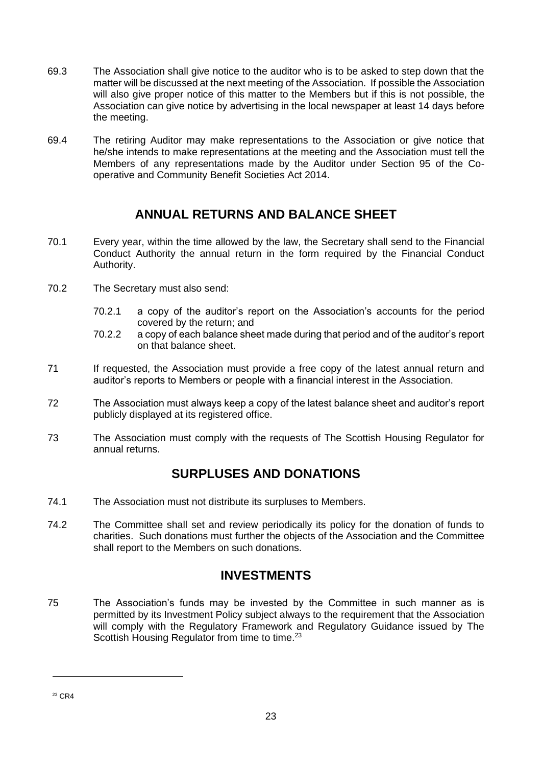- 69.3 The Association shall give notice to the auditor who is to be asked to step down that the matter will be discussed at the next meeting of the Association. If possible the Association will also give proper notice of this matter to the Members but if this is not possible, the Association can give notice by advertising in the local newspaper at least 14 days before the meeting.
- 69.4 The retiring Auditor may make representations to the Association or give notice that he/she intends to make representations at the meeting and the Association must tell the Members of any representations made by the Auditor under Section 95 of the Cooperative and Community Benefit Societies Act 2014.

#### **ANNUAL RETURNS AND BALANCE SHEET**

- 70.1 Every year, within the time allowed by the law, the Secretary shall send to the Financial Conduct Authority the annual return in the form required by the Financial Conduct Authority.
- 70.2 The Secretary must also send:
	- 70.2.1 a copy of the auditor's report on the Association's accounts for the period covered by the return; and
	- 70.2.2 a copy of each balance sheet made during that period and of the auditor's report on that balance sheet.
- 71 If requested, the Association must provide a free copy of the latest annual return and auditor's reports to Members or people with a financial interest in the Association.
- 72 The Association must always keep a copy of the latest balance sheet and auditor's report publicly displayed at its registered office.
- 73 The Association must comply with the requests of The Scottish Housing Regulator for annual returns.

#### **SURPLUSES AND DONATIONS**

- 74.1 The Association must not distribute its surpluses to Members.
- 74.2 The Committee shall set and review periodically its policy for the donation of funds to charities. Such donations must further the objects of the Association and the Committee shall report to the Members on such donations.

#### **INVESTMENTS**

75 The Association's funds may be invested by the Committee in such manner as is permitted by its Investment Policy subject always to the requirement that the Association will comply with the Regulatory Framework and Regulatory Guidance issued by The Scottish Housing Regulator from time to time.<sup>23</sup>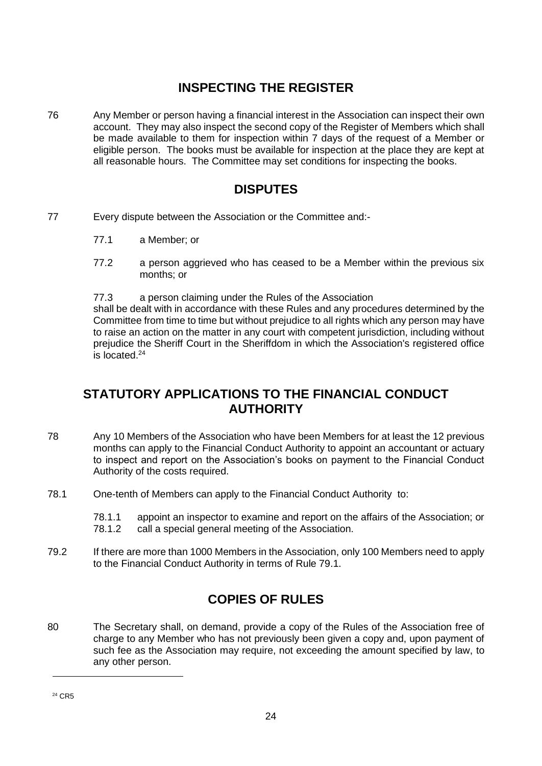#### **INSPECTING THE REGISTER**

76 Any Member or person having a financial interest in the Association can inspect their own account. They may also inspect the second copy of the Register of Members which shall be made available to them for inspection within 7 days of the request of a Member or eligible person. The books must be available for inspection at the place they are kept at all reasonable hours. The Committee may set conditions for inspecting the books.

#### **DISPUTES**

- 77 Every dispute between the Association or the Committee and:-
	- 77.1 a Member; or
	- 77.2 a person aggrieved who has ceased to be a Member within the previous six months; or
	- 77.3 a person claiming under the Rules of the Association

shall be dealt with in accordance with these Rules and any procedures determined by the Committee from time to time but without prejudice to all rights which any person may have to raise an action on the matter in any court with competent jurisdiction, including without prejudice the Sheriff Court in the Sheriffdom in which the Association's registered office is located. 24

#### **STATUTORY APPLICATIONS TO THE FINANCIAL CONDUCT AUTHORITY**

- 78 Any 10 Members of the Association who have been Members for at least the 12 previous months can apply to the Financial Conduct Authority to appoint an accountant or actuary to inspect and report on the Association's books on payment to the Financial Conduct Authority of the costs required.
- 78.1 One-tenth of Members can apply to the Financial Conduct Authority to:
	- 78.1.1 appoint an inspector to examine and report on the affairs of the Association; or 78.1.2 call a special general meeting of the Association.
- 79.2 If there are more than 1000 Members in the Association, only 100 Members need to apply to the Financial Conduct Authority in terms of Rule 79.1.

#### **COPIES OF RULES**

80 The Secretary shall, on demand, provide a copy of the Rules of the Association free of charge to any Member who has not previously been given a copy and, upon payment of such fee as the Association may require, not exceeding the amount specified by law, to any other person.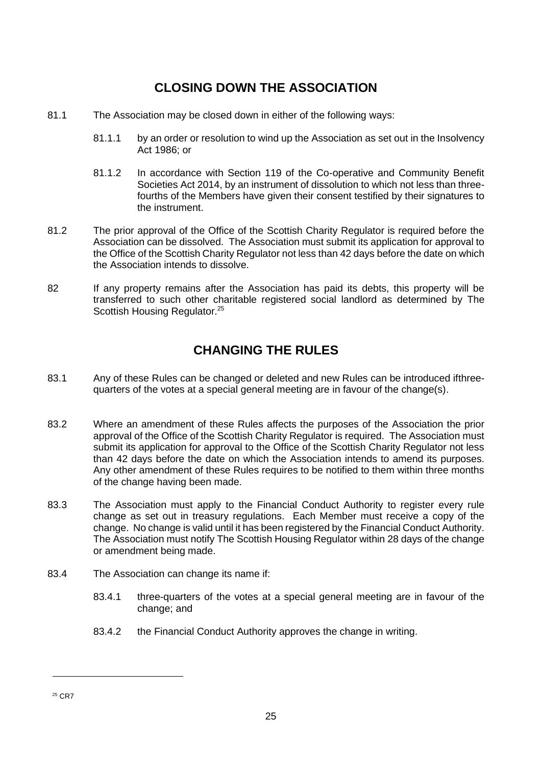#### **CLOSING DOWN THE ASSOCIATION**

- 81.1 The Association may be closed down in either of the following ways:
	- 81.1.1 by an order or resolution to wind up the Association as set out in the Insolvency Act 1986; or
	- 81.1.2 In accordance with Section 119 of the Co-operative and Community Benefit Societies Act 2014, by an instrument of dissolution to which not less than threefourths of the Members have given their consent testified by their signatures to the instrument.
- 81.2 The prior approval of the Office of the Scottish Charity Regulator is required before the Association can be dissolved. The Association must submit its application for approval to the Office of the Scottish Charity Regulator not less than 42 days before the date on which the Association intends to dissolve.
- 82 If any property remains after the Association has paid its debts, this property will be transferred to such other charitable registered social landlord as determined by The Scottish Housing Regulator.<sup>25</sup>

#### **CHANGING THE RULES**

- 83.1 Any of these Rules can be changed or deleted and new Rules can be introduced ifthreequarters of the votes at a special general meeting are in favour of the change(s).
- 83.2 Where an amendment of these Rules affects the purposes of the Association the prior approval of the Office of the Scottish Charity Regulator is required. The Association must submit its application for approval to the Office of the Scottish Charity Regulator not less than 42 days before the date on which the Association intends to amend its purposes. Any other amendment of these Rules requires to be notified to them within three months of the change having been made.
- 83.3 The Association must apply to the Financial Conduct Authority to register every rule change as set out in treasury regulations. Each Member must receive a copy of the change. No change is valid until it has been registered by the Financial Conduct Authority. The Association must notify The Scottish Housing Regulator within 28 days of the change or amendment being made.
- 83.4 The Association can change its name if:
	- 83.4.1 three-quarters of the votes at a special general meeting are in favour of the change; and
	- 83.4.2 the Financial Conduct Authority approves the change in writing.

<sup>25</sup> CR7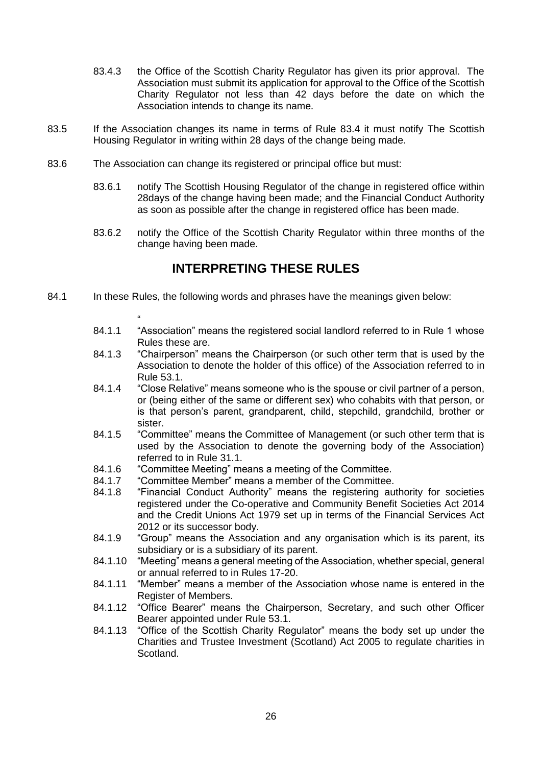- 83.4.3 the Office of the Scottish Charity Regulator has given its prior approval. The Association must submit its application for approval to the Office of the Scottish Charity Regulator not less than 42 days before the date on which the Association intends to change its name.
- 83.5 If the Association changes its name in terms of Rule 83.4 it must notify The Scottish Housing Regulator in writing within 28 days of the change being made.
- 83.6 The Association can change its registered or principal office but must:
	- 83.6.1 notify The Scottish Housing Regulator of the change in registered office within 28days of the change having been made; and the Financial Conduct Authority as soon as possible after the change in registered office has been made.
	- 83.6.2 notify the Office of the Scottish Charity Regulator within three months of the change having been made.

#### **INTERPRETING THESE RULES**

- 84.1 In these Rules, the following words and phrases have the meanings given below:
	- " 84.1.1 "Association" means the registered social landlord referred to in Rule 1 whose Rules these are.
	- 84.1.3 "Chairperson" means the Chairperson (or such other term that is used by the Association to denote the holder of this office) of the Association referred to in Rule 53.1.
	- 84.1.4 "Close Relative" means someone who is the spouse or civil partner of a person, or (being either of the same or different sex) who cohabits with that person, or is that person's parent, grandparent, child, stepchild, grandchild, brother or sister.
	- 84.1.5 "Committee" means the Committee of Management (or such other term that is used by the Association to denote the governing body of the Association) referred to in Rule 31.1.
	- 84.1.6 "Committee Meeting" means a meeting of the Committee.
	- 84.1.7 "Committee Member" means a member of the Committee.
	- 84.1.8 "Financial Conduct Authority" means the registering authority for societies registered under the Co-operative and Community Benefit Societies Act 2014 and the Credit Unions Act 1979 set up in terms of the Financial Services Act 2012 or its successor body.
	- 84.1.9 "Group" means the Association and any organisation which is its parent, its subsidiary or is a subsidiary of its parent.
	- 84.1.10 "Meeting" means a general meeting of the Association, whether special, general or annual referred to in Rules 17-20.
	- 84.1.11 "Member" means a member of the Association whose name is entered in the Register of Members.
	- 84.1.12 "Office Bearer" means the Chairperson, Secretary, and such other Officer Bearer appointed under Rule 53.1.
	- 84.1.13 "Office of the Scottish Charity Regulator" means the body set up under the Charities and Trustee Investment (Scotland) Act 2005 to regulate charities in Scotland.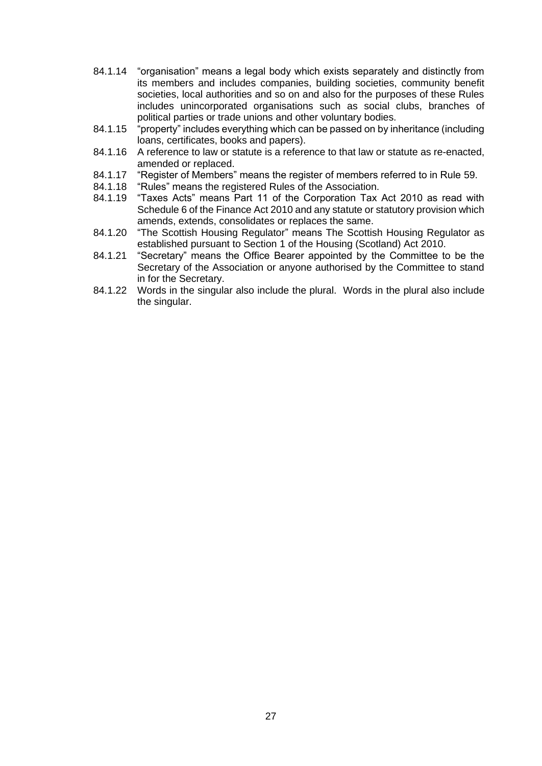- 84.1.14 "organisation" means a legal body which exists separately and distinctly from its members and includes companies, building societies, community benefit societies, local authorities and so on and also for the purposes of these Rules includes unincorporated organisations such as social clubs, branches of political parties or trade unions and other voluntary bodies.
- 84.1.15 "property" includes everything which can be passed on by inheritance (including loans, certificates, books and papers).
- 84.1.16 A reference to law or statute is a reference to that law or statute as re-enacted, amended or replaced.
- 84.1.17 "Register of Members" means the register of members referred to in Rule 59.
- 84.1.18 "Rules" means the registered Rules of the Association.
- 84.1.19 "Taxes Acts" means Part 11 of the Corporation Tax Act 2010 as read with Schedule 6 of the Finance Act 2010 and any statute or statutory provision which amends, extends, consolidates or replaces the same.
- 84.1.20 "The Scottish Housing Regulator" means The Scottish Housing Regulator as established pursuant to Section 1 of the Housing (Scotland) Act 2010.
- 84.1.21 "Secretary" means the Office Bearer appointed by the Committee to be the Secretary of the Association or anyone authorised by the Committee to stand in for the Secretary.
- 84.1.22 Words in the singular also include the plural. Words in the plural also include the singular.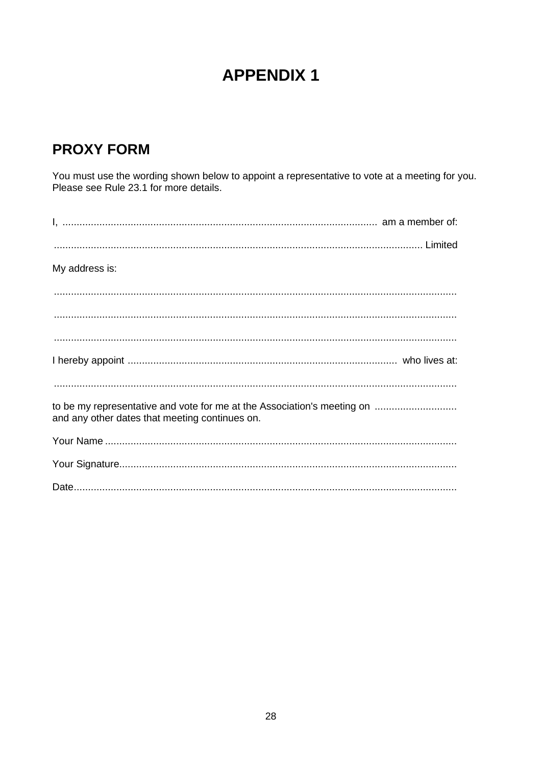# **APPENDIX 1**

## **PROXY FORM**

You must use the wording shown below to appoint a representative to vote at a meeting for you.<br>Please see Rule 23.1 for more details.

| My address is:                                                                                                            |
|---------------------------------------------------------------------------------------------------------------------------|
|                                                                                                                           |
|                                                                                                                           |
|                                                                                                                           |
|                                                                                                                           |
|                                                                                                                           |
| to be my representative and vote for me at the Association's meeting on<br>and any other dates that meeting continues on. |
|                                                                                                                           |
|                                                                                                                           |
|                                                                                                                           |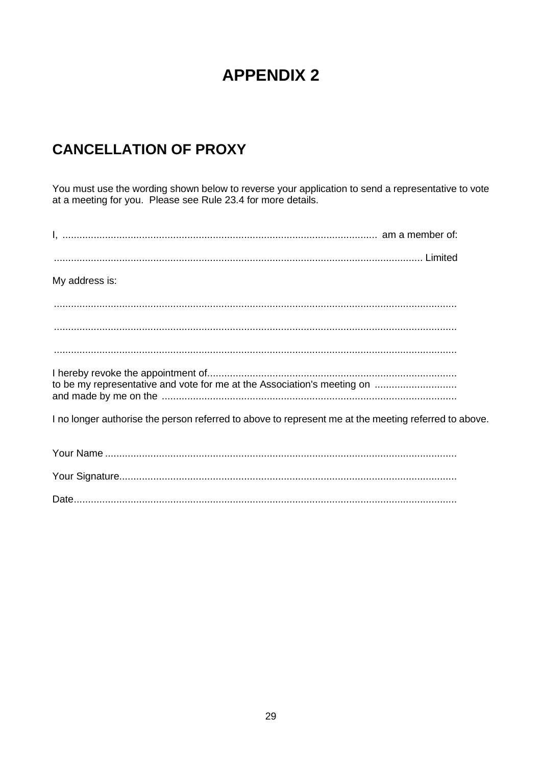# **APPENDIX 2**

# **CANCELLATION OF PROXY**

You must use the wording shown below to reverse your application to send a representative to vote at a meeting for you. Please see Rule 23.4 for more details.

| My address is:                                                                                       |
|------------------------------------------------------------------------------------------------------|
|                                                                                                      |
|                                                                                                      |
|                                                                                                      |
| to be my representative and vote for me at the Association's meeting on                              |
| I no longer authorise the person referred to above to represent me at the meeting referred to above. |